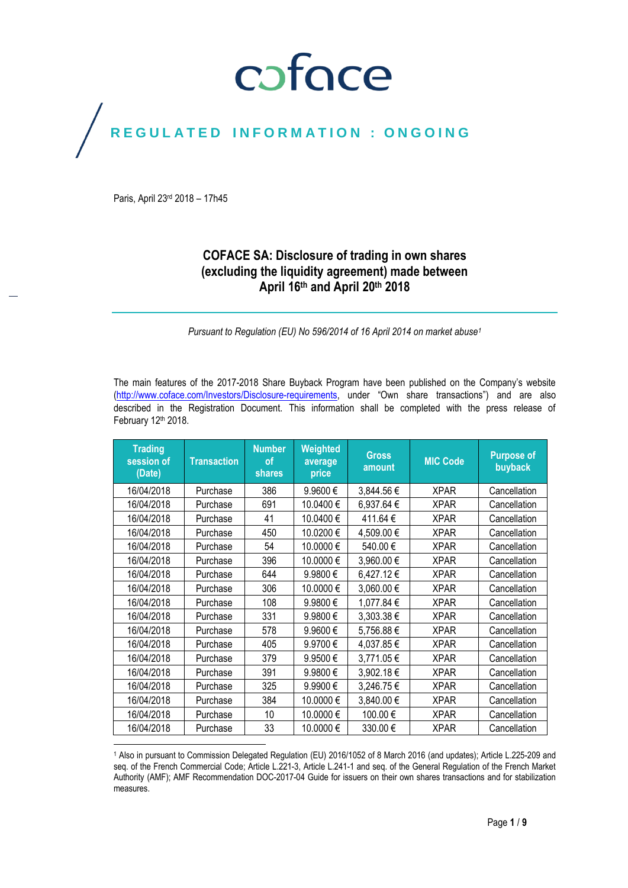## coface

## REGULATED INFORMATION : ONGOING

Paris, April 23rd 2018 – 17h45

 $\overline{a}$ 

## **COFACE SA: Disclosure of trading in own shares (excluding the liquidity agreement) made between April 16th and April 20th 2018**

*Pursuant to Regulation (EU) No 596/2014 of 16 April 2014 on market abuse<sup>1</sup>*

The main features of the 2017-2018 Share Buyback Program have been published on the Company's website [\(http://www.coface.com/Investors/Disclosure-requirements](http://www.coface.com/Investors/Disclosure-requirements), under "Own share transactions") and are also described in the Registration Document. This information shall be completed with the press release of February 12th 2018.

| <b>Trading</b><br>session of<br>(Date) | <b>Transaction</b> | <b>Number</b><br><b>of</b><br>shares | Weighted<br>average<br>price | <b>Gross</b><br>amount | <b>MIC Code</b> | <b>Purpose of</b><br>buyback |
|----------------------------------------|--------------------|--------------------------------------|------------------------------|------------------------|-----------------|------------------------------|
| 16/04/2018                             | Purchase           | 386                                  | 9.9600€                      | 3,844.56 €             | <b>XPAR</b>     | Cancellation                 |
| 16/04/2018                             | Purchase           | 691                                  | 10.0400€                     | 6,937.64 €             | <b>XPAR</b>     | Cancellation                 |
| 16/04/2018                             | Purchase           | 41                                   | 10.0400€                     | 411.64 €               | <b>XPAR</b>     | Cancellation                 |
| 16/04/2018                             | Purchase           | 450                                  | 10.0200€                     | 4,509.00€              | <b>XPAR</b>     | Cancellation                 |
| 16/04/2018                             | Purchase           | 54                                   | 10.0000€                     | 540.00€                | <b>XPAR</b>     | Cancellation                 |
| 16/04/2018                             | Purchase           | 396                                  | 10.0000€                     | 3,960.00 €             | <b>XPAR</b>     | Cancellation                 |
| 16/04/2018                             | Purchase           | 644                                  | 9.9800€                      | 6,427.12€              | <b>XPAR</b>     | Cancellation                 |
| 16/04/2018                             | Purchase           | 306                                  | 10.0000€                     | 3,060.00€              | <b>XPAR</b>     | Cancellation                 |
| 16/04/2018                             | Purchase           | 108                                  | 9.9800€                      | 1,077.84 €             | <b>XPAR</b>     | Cancellation                 |
| 16/04/2018                             | Purchase           | 331                                  | 9.9800€                      | 3,303.38€              | <b>XPAR</b>     | Cancellation                 |
| 16/04/2018                             | Purchase           | 578                                  | 9.9600€                      | 5,756.88€              | <b>XPAR</b>     | Cancellation                 |
| 16/04/2018                             | Purchase           | 405                                  | 9.9700€                      | 4,037.85€              | <b>XPAR</b>     | Cancellation                 |
| 16/04/2018                             | Purchase           | 379                                  | 9.9500€                      | 3,771.05€              | <b>XPAR</b>     | Cancellation                 |
| 16/04/2018                             | Purchase           | 391                                  | 9.9800€                      | 3,902.18€              | <b>XPAR</b>     | Cancellation                 |
| 16/04/2018                             | Purchase           | 325                                  | 9.9900€                      | 3,246.75€              | XPAR            | Cancellation                 |
| 16/04/2018                             | Purchase           | 384                                  | 10.0000€                     | 3,840.00 €             | <b>XPAR</b>     | Cancellation                 |
| 16/04/2018                             | Purchase           | 10                                   | 10.0000€                     | 100.00€                | <b>XPAR</b>     | Cancellation                 |
| 16/04/2018                             | Purchase           | 33                                   | 10.0000€                     | 330.00€                | <b>XPAR</b>     | Cancellation                 |

<sup>1</sup> Also in pursuant to Commission Delegated Regulation (EU) 2016/1052 of 8 March 2016 (and updates); Article L.225-209 and seq. of the French Commercial Code; Article L.221-3, Article L.241-1 and seq. of the General Regulation of the French Market Authority (AMF); AMF Recommendation DOC-2017-04 Guide for issuers on their own shares transactions and for stabilization measures.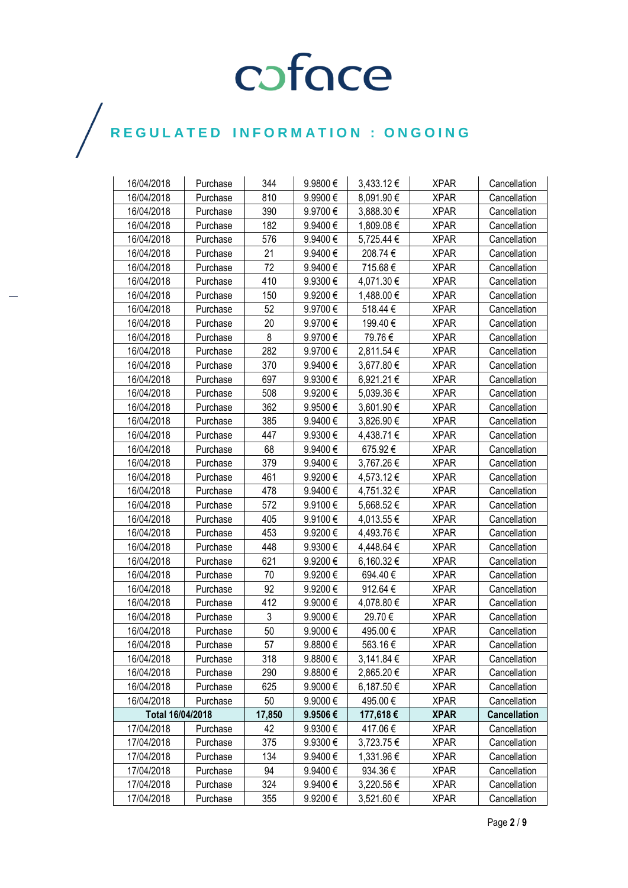| 16/04/2018       | Purchase | 344    | 9.9800€  | 3,433.12€  | <b>XPAR</b> | Cancellation        |
|------------------|----------|--------|----------|------------|-------------|---------------------|
| 16/04/2018       | Purchase | 810    | 9.9900€  | 8,091.90€  | <b>XPAR</b> | Cancellation        |
| 16/04/2018       | Purchase | 390    | 9.9700€  | 3,888.30 € | <b>XPAR</b> | Cancellation        |
| 16/04/2018       | Purchase | 182    | 9.9400€  | 1,809.08€  | <b>XPAR</b> | Cancellation        |
| 16/04/2018       | Purchase | 576    | 9.9400€  | 5,725.44 € | <b>XPAR</b> | Cancellation        |
| 16/04/2018       | Purchase | 21     | 9.9400€  | 208.74€    | <b>XPAR</b> | Cancellation        |
| 16/04/2018       | Purchase | 72     | 9.9400€  | 715.68€    | <b>XPAR</b> | Cancellation        |
| 16/04/2018       | Purchase | 410    | 9.9300€  | 4,071.30 € | <b>XPAR</b> | Cancellation        |
| 16/04/2018       | Purchase | 150    | 9.9200€  | 1,488.00 € | <b>XPAR</b> | Cancellation        |
| 16/04/2018       | Purchase | 52     | 9.9700€  | 518.44€    | <b>XPAR</b> | Cancellation        |
| 16/04/2018       | Purchase | 20     | 9.9700€  | 199.40€    | <b>XPAR</b> | Cancellation        |
| 16/04/2018       | Purchase | 8      | 9.9700€  | 79.76€     | <b>XPAR</b> | Cancellation        |
| 16/04/2018       | Purchase | 282    | 9.9700€  | 2,811.54 € | <b>XPAR</b> | Cancellation        |
| 16/04/2018       | Purchase | 370    | 9.9400 € | 3,677.80 € | <b>XPAR</b> | Cancellation        |
| 16/04/2018       | Purchase | 697    | 9.9300€  | 6,921.21€  | <b>XPAR</b> | Cancellation        |
| 16/04/2018       | Purchase | 508    | 9.9200€  | 5,039.36 € | <b>XPAR</b> | Cancellation        |
| 16/04/2018       | Purchase | 362    | 9.9500€  | 3,601.90 € | <b>XPAR</b> | Cancellation        |
| 16/04/2018       | Purchase | 385    | 9.9400€  | 3,826.90 € | <b>XPAR</b> | Cancellation        |
| 16/04/2018       | Purchase | 447    | 9.9300€  | 4,438.71 € | <b>XPAR</b> | Cancellation        |
| 16/04/2018       | Purchase | 68     | 9.9400€  | 675.92€    | <b>XPAR</b> | Cancellation        |
| 16/04/2018       | Purchase | 379    | 9.9400€  | 3,767.26€  | <b>XPAR</b> | Cancellation        |
| 16/04/2018       | Purchase | 461    | 9.9200€  | 4,573.12€  | <b>XPAR</b> | Cancellation        |
| 16/04/2018       | Purchase | 478    | 9.9400€  | 4,751.32€  | <b>XPAR</b> | Cancellation        |
| 16/04/2018       | Purchase | 572    | 9.9100€  | 5,668.52€  | <b>XPAR</b> | Cancellation        |
| 16/04/2018       | Purchase | 405    | 9.9100€  | 4,013.55 € | <b>XPAR</b> | Cancellation        |
| 16/04/2018       | Purchase | 453    | 9.9200€  | 4,493.76 € | <b>XPAR</b> | Cancellation        |
| 16/04/2018       | Purchase | 448    | 9.9300€  | 4,448.64 € | <b>XPAR</b> | Cancellation        |
| 16/04/2018       | Purchase | 621    | 9.9200€  | 6,160.32€  | <b>XPAR</b> | Cancellation        |
| 16/04/2018       | Purchase | 70     | 9.9200€  | 694.40€    | <b>XPAR</b> | Cancellation        |
| 16/04/2018       | Purchase | 92     | 9.9200€  | 912.64 €   | <b>XPAR</b> | Cancellation        |
| 16/04/2018       | Purchase | 412    | 9.9000€  | 4,078.80 € | <b>XPAR</b> | Cancellation        |
| 16/04/2018       | Purchase | 3      | 9.9000€  | 29.70€     | <b>XPAR</b> | Cancellation        |
| 16/04/2018       | Purchase | 50     | 9.9000€  | 495.00€    | <b>XPAR</b> | Cancellation        |
| 16/04/2018       | Purchase | 57     | 9.8800€  | 563.16€    | <b>XPAR</b> | Cancellation        |
| 16/04/2018       | Purchase | 318    | 9.8800€  | 3,141.84 € | <b>XPAR</b> | Cancellation        |
| 16/04/2018       | Purchase | 290    | 9.8800€  | 2,865.20€  | <b>XPAR</b> | Cancellation        |
| 16/04/2018       | Purchase | 625    | 9.9000€  | 6,187.50€  | <b>XPAR</b> | Cancellation        |
| 16/04/2018       | Purchase | 50     | 9.9000€  | 495.00€    | <b>XPAR</b> | Cancellation        |
| Total 16/04/2018 |          | 17,850 | 9.9506€  | 177,618€   | <b>XPAR</b> | <b>Cancellation</b> |
| 17/04/2018       | Purchase | 42     | 9.9300€  | 417.06€    | <b>XPAR</b> | Cancellation        |
| 17/04/2018       | Purchase | 375    | 9.9300€  | 3,723.75€  | <b>XPAR</b> | Cancellation        |
| 17/04/2018       | Purchase | 134    | 9.9400€  | 1,331.96 € | <b>XPAR</b> | Cancellation        |
| 17/04/2018       | Purchase | 94     | 9.9400€  | 934.36€    | <b>XPAR</b> | Cancellation        |
| 17/04/2018       | Purchase | 324    | 9.9400€  | 3,220.56 € | <b>XPAR</b> | Cancellation        |
| 17/04/2018       | Purchase | 355    | 9.9200€  | 3,521.60 € | <b>XPAR</b> | Cancellation        |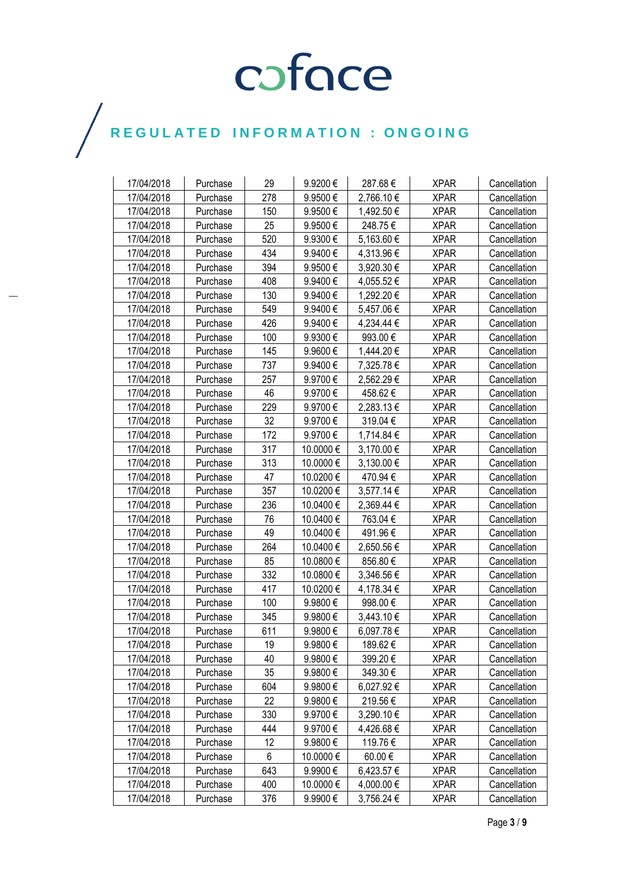| 17/04/2018 | Purchase | 29  | 9.9200€   | 287.68€    | <b>XPAR</b> | Cancellation |
|------------|----------|-----|-----------|------------|-------------|--------------|
| 17/04/2018 | Purchase | 278 | 9.9500€   | 2,766.10€  | <b>XPAR</b> | Cancellation |
| 17/04/2018 | Purchase | 150 | 9.9500€   | 1,492.50 € | <b>XPAR</b> | Cancellation |
| 17/04/2018 | Purchase | 25  | 9.9500€   | 248.75€    | <b>XPAR</b> | Cancellation |
| 17/04/2018 | Purchase | 520 | 9.9300€   | 5,163.60 € | <b>XPAR</b> | Cancellation |
| 17/04/2018 | Purchase | 434 | 9.9400€   | 4,313.96 € | <b>XPAR</b> | Cancellation |
| 17/04/2018 | Purchase | 394 | 9.9500€   | 3,920.30 € | <b>XPAR</b> | Cancellation |
| 17/04/2018 | Purchase | 408 | 9.9400€   | 4,055.52€  | <b>XPAR</b> | Cancellation |
| 17/04/2018 | Purchase | 130 | 9.9400€   | 1,292.20 € | <b>XPAR</b> | Cancellation |
| 17/04/2018 | Purchase | 549 | 9.9400€   | 5,457.06 € | <b>XPAR</b> | Cancellation |
| 17/04/2018 | Purchase | 426 | 9.9400€   | 4,234.44 € | <b>XPAR</b> | Cancellation |
| 17/04/2018 | Purchase | 100 | 9.9300€   | 993.00€    | <b>XPAR</b> | Cancellation |
| 17/04/2018 | Purchase | 145 | 9.9600€   | 1,444.20 € | <b>XPAR</b> | Cancellation |
| 17/04/2018 | Purchase | 737 | 9.9400€   | 7,325.78€  | <b>XPAR</b> | Cancellation |
| 17/04/2018 | Purchase | 257 | 9.9700€   | 2,562.29€  | <b>XPAR</b> | Cancellation |
| 17/04/2018 | Purchase | 46  | 9.9700€   | 458.62€    | <b>XPAR</b> | Cancellation |
| 17/04/2018 | Purchase | 229 | 9.9700€   | 2,283.13€  | <b>XPAR</b> | Cancellation |
| 17/04/2018 | Purchase | 32  | 9.9700€   | 319.04€    | <b>XPAR</b> | Cancellation |
| 17/04/2018 | Purchase | 172 | 9.9700€   | 1,714.84 € | <b>XPAR</b> | Cancellation |
| 17/04/2018 | Purchase | 317 | 10.0000 € | 3,170.00 € | <b>XPAR</b> | Cancellation |
| 17/04/2018 | Purchase | 313 | 10.0000 € | 3,130.00 € | <b>XPAR</b> | Cancellation |
| 17/04/2018 | Purchase | 47  | 10.0200€  | 470.94€    | <b>XPAR</b> | Cancellation |
| 17/04/2018 | Purchase | 357 | 10.0200€  | 3,577.14 € | <b>XPAR</b> | Cancellation |
| 17/04/2018 | Purchase | 236 | 10.0400€  | 2,369.44 € | <b>XPAR</b> | Cancellation |
| 17/04/2018 | Purchase | 76  | 10.0400 € | 763.04 €   | <b>XPAR</b> | Cancellation |
| 17/04/2018 | Purchase | 49  | 10.0400€  | 491.96€    | <b>XPAR</b> | Cancellation |
| 17/04/2018 | Purchase | 264 | 10.0400€  | 2,650.56€  | <b>XPAR</b> | Cancellation |
| 17/04/2018 | Purchase | 85  | 10.0800€  | 856.80€    | <b>XPAR</b> | Cancellation |
| 17/04/2018 | Purchase | 332 | 10.0800€  | 3,346.56 € | <b>XPAR</b> | Cancellation |
| 17/04/2018 | Purchase | 417 | 10.0200€  | 4,178.34 € | <b>XPAR</b> | Cancellation |
| 17/04/2018 | Purchase | 100 | 9.9800€   | 998.00€    | <b>XPAR</b> | Cancellation |
| 17/04/2018 | Purchase | 345 | 9.9800€   | 3,443.10 € | <b>XPAR</b> | Cancellation |
| 17/04/2018 | Purchase | 611 | 9.9800€   | 6,097.78€  | <b>XPAR</b> | Cancellation |
| 17/04/2018 | Purchase | 19  | 9.9800€   | 189.62€    | <b>XPAR</b> | Cancellation |
| 17/04/2018 | Purchase | 40  | 9.9800€   | 399.20€    | <b>XPAR</b> | Cancellation |
| 17/04/2018 | Purchase | 35  | 9.9800€   | 349.30€    | <b>XPAR</b> | Cancellation |
| 17/04/2018 | Purchase | 604 | 9.9800€   | 6,027.92€  | <b>XPAR</b> | Cancellation |
| 17/04/2018 | Purchase | 22  | 9.9800€   | 219.56€    | <b>XPAR</b> | Cancellation |
| 17/04/2018 | Purchase | 330 | 9.9700€   | 3,290.10€  | <b>XPAR</b> | Cancellation |
| 17/04/2018 | Purchase | 444 | 9.9700€   | 4,426.68€  | <b>XPAR</b> | Cancellation |
| 17/04/2018 | Purchase | 12  | 9.9800€   | 119.76€    | <b>XPAR</b> | Cancellation |
| 17/04/2018 | Purchase | 6   | 10.0000 € | 60.00€     | <b>XPAR</b> | Cancellation |
| 17/04/2018 | Purchase | 643 | 9.9900€   | 6,423.57 € | <b>XPAR</b> | Cancellation |
| 17/04/2018 | Purchase | 400 | 10.0000 € | 4,000.00 € | <b>XPAR</b> | Cancellation |
| 17/04/2018 | Purchase | 376 | 9.9900€   | 3,756.24 € | <b>XPAR</b> | Cancellation |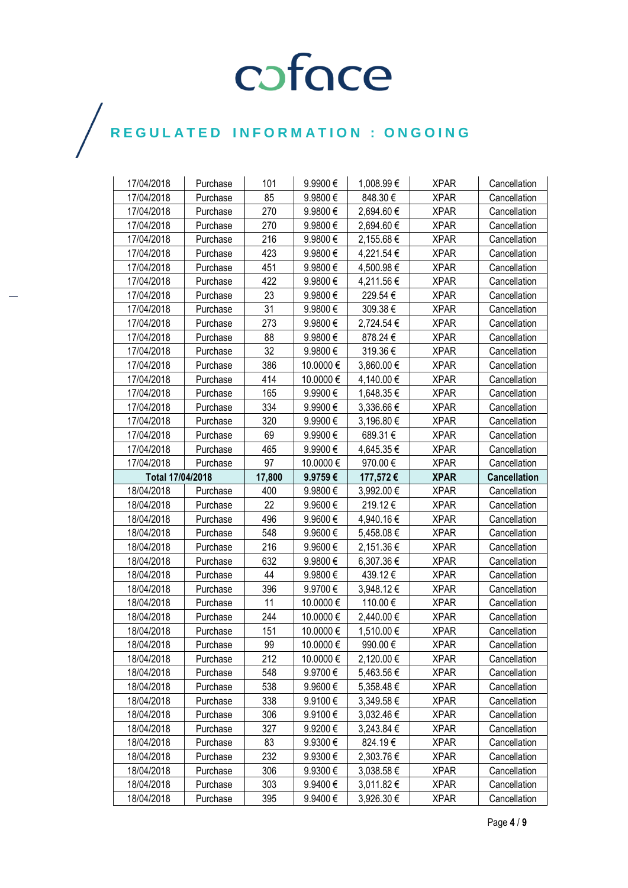| 17/04/2018       | Purchase | 101    | 9.9900€      | 1,008.99 € | <b>XPAR</b> | Cancellation        |
|------------------|----------|--------|--------------|------------|-------------|---------------------|
| 17/04/2018       | Purchase | 85     | 9.9800€      | 848.30€    | <b>XPAR</b> | Cancellation        |
| 17/04/2018       | Purchase | 270    | 9.9800€      | 2,694.60€  | <b>XPAR</b> | Cancellation        |
| 17/04/2018       | Purchase | 270    | 9.9800€      | 2,694.60€  | <b>XPAR</b> | Cancellation        |
| 17/04/2018       | Purchase | 216    | 9.9800€      | 2,155.68€  | <b>XPAR</b> | Cancellation        |
| 17/04/2018       | Purchase | 423    | 9.9800€      | 4,221.54 € | <b>XPAR</b> | Cancellation        |
| 17/04/2018       | Purchase | 451    | 9.9800€      | 4,500.98€  | <b>XPAR</b> | Cancellation        |
| 17/04/2018       | Purchase | 422    | 9.9800€      | 4,211.56 € | <b>XPAR</b> | Cancellation        |
| 17/04/2018       | Purchase | 23     | 9.9800€      | 229.54€    | <b>XPAR</b> | Cancellation        |
| 17/04/2018       | Purchase | 31     | 9.9800€      | 309.38€    | <b>XPAR</b> | Cancellation        |
| 17/04/2018       | Purchase | 273    | 9.9800€      | 2,724.54 € | <b>XPAR</b> | Cancellation        |
| 17/04/2018       | Purchase | 88     | 9.9800€      | 878.24€    | <b>XPAR</b> | Cancellation        |
| 17/04/2018       | Purchase | 32     | 9.9800€      | 319.36€    | <b>XPAR</b> | Cancellation        |
| 17/04/2018       | Purchase | 386    | 10.0000 €    | 3,860.00 € | <b>XPAR</b> | Cancellation        |
| 17/04/2018       | Purchase | 414    | 10.0000€     | 4,140.00 € | <b>XPAR</b> | Cancellation        |
| 17/04/2018       | Purchase | 165    | 9.9900€      | 1,648.35 € | <b>XPAR</b> | Cancellation        |
| 17/04/2018       | Purchase | 334    | 9.9900€      | 3,336.66 € | <b>XPAR</b> | Cancellation        |
| 17/04/2018       | Purchase | 320    | 9.9900€      | 3,196.80 € | <b>XPAR</b> | Cancellation        |
| 17/04/2018       | Purchase | 69     | 9.9900€      | 689.31€    | <b>XPAR</b> | Cancellation        |
| 17/04/2018       | Purchase | 465    | 9.9900€      | 4,645.35 € | <b>XPAR</b> | Cancellation        |
| 17/04/2018       | Purchase | 97     | 10.0000€     | 970.00€    | <b>XPAR</b> | Cancellation        |
| Total 17/04/2018 |          | 17,800 | 9.9759€      | 177,572€   | <b>XPAR</b> | <b>Cancellation</b> |
| 18/04/2018       | Purchase | 400    | 9.9800€      | 3,992.00 € | <b>XPAR</b> | Cancellation        |
|                  |          |        |              |            |             |                     |
| 18/04/2018       | Purchase | 22     | 9.9600€      | 219.12€    | <b>XPAR</b> | Cancellation        |
| 18/04/2018       | Purchase | 496    | 9.9600€      | 4,940.16 € | <b>XPAR</b> | Cancellation        |
| 18/04/2018       | Purchase | 548    | 9.9600€      | 5,458.08 € | <b>XPAR</b> | Cancellation        |
| 18/04/2018       | Purchase | 216    | 9.9600€      | 2,151.36 € | <b>XPAR</b> | Cancellation        |
| 18/04/2018       | Purchase | 632    | 9.9800€      | 6,307.36 € | <b>XPAR</b> | Cancellation        |
| 18/04/2018       | Purchase | 44     | 9.9800€      | 439.12€    | <b>XPAR</b> | Cancellation        |
| 18/04/2018       | Purchase | 396    | 9.9700€      | 3,948.12€  | <b>XPAR</b> | Cancellation        |
| 18/04/2018       | Purchase | 11     | 10.0000 €    | 110.00 €   | <b>XPAR</b> | Cancellation        |
| 18/04/2018       | Purchase | 244    | 10.0000 €    | 2,440.00 € | <b>XPAR</b> | Cancellation        |
| 18/04/2018       | Purchase | 151    | 10.0000€     | 1,510.00 € | <b>XPAR</b> | Cancellation        |
| 18/04/2018       | Purchase | 99     | 10.0000€     | 990.00€    | <b>XPAR</b> | Cancellation        |
| 18/04/2018       | Purchase | 212    | 10.0000 €    | 2,120.00 € | <b>XPAR</b> | Cancellation        |
| 18/04/2018       | Purchase | 548    | 9.9700€      | 5,463.56 € | <b>XPAR</b> | Cancellation        |
| 18/04/2018       | Purchase | 538    | 9.9600€      | 5,358.48€  | <b>XPAR</b> | Cancellation        |
| 18/04/2018       | Purchase | 338    | 9.9100€      | 3,349.58€  | <b>XPAR</b> | Cancellation        |
| 18/04/2018       | Purchase | 306    | 9.9100€      | 3,032.46 € | <b>XPAR</b> | Cancellation        |
| 18/04/2018       | Purchase | 327    | 9.9200€      | 3,243.84 € | <b>XPAR</b> | Cancellation        |
| 18/04/2018       | Purchase | 83     | 9.9300€      | 824.19€    | <b>XPAR</b> | Cancellation        |
| 18/04/2018       | Purchase | 232    | 9.9300€      | 2,303.76 € | <b>XPAR</b> | Cancellation        |
| 18/04/2018       | Purchase | 306    | $9.9300 \in$ | 3,038.58 € | <b>XPAR</b> | Cancellation        |
| 18/04/2018       | Purchase | 303    | 9.9400€      | 3,011.82 € | <b>XPAR</b> | Cancellation        |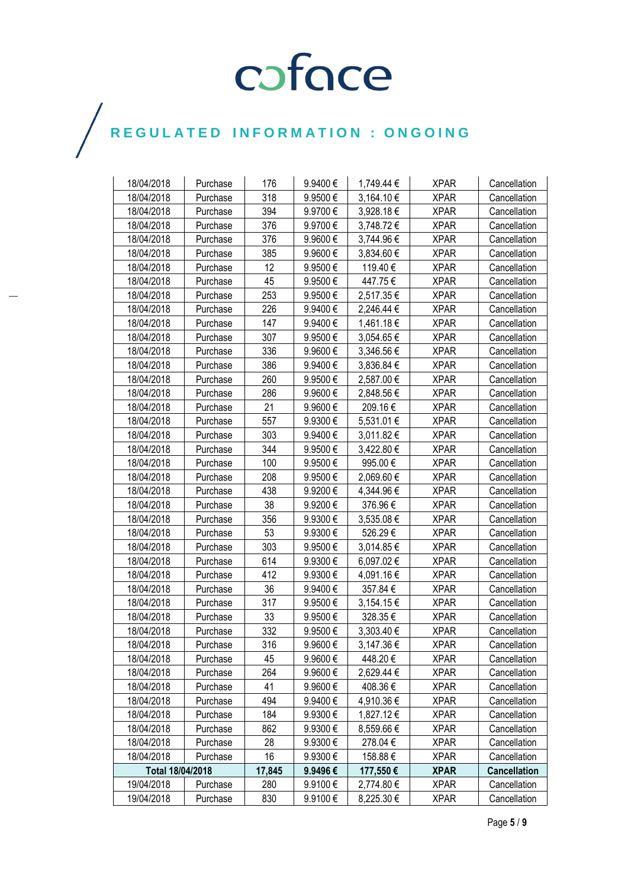| 18/04/2018       | Purchase | 176    | 9.9400€      | 1,749.44 € | <b>XPAR</b> | Cancellation        |
|------------------|----------|--------|--------------|------------|-------------|---------------------|
| 18/04/2018       | Purchase | 318    | 9.9500€      | 3,164.10€  | <b>XPAR</b> | Cancellation        |
| 18/04/2018       | Purchase | 394    | 9.9700€      | 3,928.18€  | <b>XPAR</b> | Cancellation        |
| 18/04/2018       | Purchase | 376    | 9.9700€      | 3,748.72€  | <b>XPAR</b> | Cancellation        |
| 18/04/2018       | Purchase | 376    | 9.9600€      | 3,744.96€  | <b>XPAR</b> | Cancellation        |
| 18/04/2018       | Purchase | 385    | 9.9600€      | 3,834.60 € | <b>XPAR</b> | Cancellation        |
| 18/04/2018       | Purchase | 12     | 9.9500€      | 119.40€    | <b>XPAR</b> | Cancellation        |
| 18/04/2018       | Purchase | 45     | 9.9500€      | 447.75€    | <b>XPAR</b> | Cancellation        |
| 18/04/2018       | Purchase | 253    | 9.9500€      | 2,517.35 € | <b>XPAR</b> | Cancellation        |
| 18/04/2018       | Purchase | 226    | 9.9400€      | 2,246.44 € | <b>XPAR</b> | Cancellation        |
| 18/04/2018       | Purchase | 147    | 9.9400€      | 1,461.18€  | <b>XPAR</b> | Cancellation        |
| 18/04/2018       | Purchase | 307    | 9.9500€      | 3,054.65 € | <b>XPAR</b> | Cancellation        |
| 18/04/2018       | Purchase | 336    | 9.9600€      | 3,346.56 € | <b>XPAR</b> | Cancellation        |
| 18/04/2018       | Purchase | 386    | 9.9400€      | 3,836.84 € | <b>XPAR</b> | Cancellation        |
| 18/04/2018       | Purchase | 260    | 9.9500€      | 2,587.00 € | <b>XPAR</b> | Cancellation        |
| 18/04/2018       | Purchase | 286    | 9.9600€      | 2,848.56 € | <b>XPAR</b> | Cancellation        |
| 18/04/2018       | Purchase | 21     | 9.9600€      | 209.16€    | <b>XPAR</b> | Cancellation        |
| 18/04/2018       | Purchase | 557    | 9.9300€      | 5,531.01 € | <b>XPAR</b> | Cancellation        |
| 18/04/2018       | Purchase | 303    | 9.9400€      | 3,011.82 € | <b>XPAR</b> | Cancellation        |
| 18/04/2018       | Purchase | 344    | 9.9500€      | 3,422.80 € | <b>XPAR</b> | Cancellation        |
| 18/04/2018       | Purchase | 100    | 9.9500€      | 995.00€    | <b>XPAR</b> | Cancellation        |
| 18/04/2018       | Purchase | 208    | 9.9500€      | 2,069.60€  | <b>XPAR</b> | Cancellation        |
| 18/04/2018       | Purchase | 438    | 9.9200€      | 4,344.96€  | <b>XPAR</b> | Cancellation        |
| 18/04/2018       | Purchase | 38     | 9.9200€      | 376.96€    | <b>XPAR</b> | Cancellation        |
| 18/04/2018       | Purchase | 356    | 9.9300€      | 3,535.08€  | <b>XPAR</b> | Cancellation        |
| 18/04/2018       | Purchase | 53     | 9.9300 $\in$ | 526.29€    | <b>XPAR</b> | Cancellation        |
| 18/04/2018       | Purchase | 303    | 9.9500€      | 3,014.85€  | <b>XPAR</b> | Cancellation        |
| 18/04/2018       | Purchase | 614    | 9.9300€      | 6,097.02€  | <b>XPAR</b> | Cancellation        |
| 18/04/2018       | Purchase | 412    | 9.9300€      | 4,091.16€  | <b>XPAR</b> | Cancellation        |
| 18/04/2018       | Purchase | 36     | 9.9400€      | 357.84 €   | <b>XPAR</b> | Cancellation        |
| 18/04/2018       | Purchase | 317    | 9.9500€      | 3,154.15€  | <b>XPAR</b> | Cancellation        |
| 18/04/2018       | Purchase | 33     | 9.9500€      | 328.35€    | <b>XPAR</b> | Cancellation        |
| 18/04/2018       | Purchase | 332    | 9.9500€      | 3,303.40 € | <b>XPAR</b> | Cancellation        |
| 18/04/2018       | Purchase | 316    | 9.9600€      | 3,147.36€  | <b>XPAR</b> | Cancellation        |
| 18/04/2018       | Purchase | 45     | 9.9600€      | 448.20€    | <b>XPAR</b> | Cancellation        |
| 18/04/2018       | Purchase | 264    | 9.9600€      | 2,629.44 € | <b>XPAR</b> | Cancellation        |
| 18/04/2018       | Purchase | 41     | 9.9600€      | 408.36€    | <b>XPAR</b> | Cancellation        |
| 18/04/2018       | Purchase | 494    | 9.9400€      | 4,910.36 € | <b>XPAR</b> | Cancellation        |
| 18/04/2018       | Purchase | 184    | 9.9300€      | 1,827.12€  | <b>XPAR</b> | Cancellation        |
| 18/04/2018       | Purchase | 862    | 9.9300€      | 8,559.66 € | <b>XPAR</b> | Cancellation        |
| 18/04/2018       | Purchase | 28     | 9.9300€      | 278.04€    | <b>XPAR</b> | Cancellation        |
| 18/04/2018       | Purchase | 16     | 9.9300€      | 158.88€    | <b>XPAR</b> | Cancellation        |
| Total 18/04/2018 |          | 17,845 | 9.9496€      | 177,550€   | <b>XPAR</b> | <b>Cancellation</b> |
| 19/04/2018       | Purchase | 280    | 9.9100€      | 2,774.80 € | <b>XPAR</b> | Cancellation        |
| 19/04/2018       | Purchase | 830    | 9.9100€      | 8,225.30 € | <b>XPAR</b> | Cancellation        |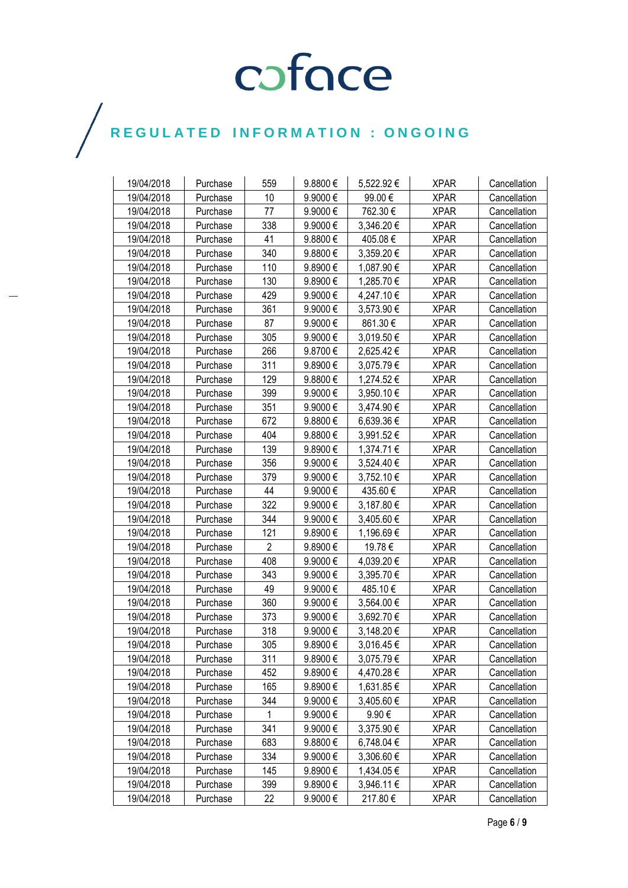| 19/04/2018 | Purchase | 559            | 9.8800€ | 5,522.92€  | <b>XPAR</b> | Cancellation |
|------------|----------|----------------|---------|------------|-------------|--------------|
| 19/04/2018 | Purchase | 10             | 9.9000€ | 99.00€     | <b>XPAR</b> | Cancellation |
| 19/04/2018 | Purchase | 77             | 9.9000€ | 762.30€    | <b>XPAR</b> | Cancellation |
| 19/04/2018 | Purchase | 338            | 9.9000€ | 3,346.20 € | <b>XPAR</b> | Cancellation |
| 19/04/2018 | Purchase | 41             | 9.8800€ | 405.08€    | <b>XPAR</b> | Cancellation |
| 19/04/2018 | Purchase | 340            | 9.8800€ | 3,359.20€  | <b>XPAR</b> | Cancellation |
| 19/04/2018 | Purchase | 110            | 9.8900€ | 1,087.90 € | <b>XPAR</b> | Cancellation |
| 19/04/2018 | Purchase | 130            | 9.8900€ | 1,285.70 € | <b>XPAR</b> | Cancellation |
| 19/04/2018 | Purchase | 429            | 9.9000€ | 4,247.10€  | <b>XPAR</b> | Cancellation |
| 19/04/2018 | Purchase | 361            | 9.9000€ | 3,573.90 € | <b>XPAR</b> | Cancellation |
| 19/04/2018 | Purchase | 87             | 9.9000€ | 861.30€    | <b>XPAR</b> | Cancellation |
| 19/04/2018 | Purchase | 305            | 9.9000€ | 3,019.50 € | <b>XPAR</b> | Cancellation |
| 19/04/2018 | Purchase | 266            | 9.8700€ | 2,625.42€  | <b>XPAR</b> | Cancellation |
| 19/04/2018 | Purchase | 311            | 9.8900€ | 3,075.79€  | <b>XPAR</b> | Cancellation |
| 19/04/2018 | Purchase | 129            | 9.8800€ | 1,274.52 € | <b>XPAR</b> | Cancellation |
| 19/04/2018 | Purchase | 399            | 9.9000€ | 3,950.10 € | <b>XPAR</b> | Cancellation |
| 19/04/2018 | Purchase | 351            | 9.9000€ | 3,474.90 € | <b>XPAR</b> | Cancellation |
| 19/04/2018 | Purchase | 672            | 9.8800€ | 6,639.36 € | <b>XPAR</b> | Cancellation |
| 19/04/2018 | Purchase | 404            | 9.8800€ | 3,991.52€  | <b>XPAR</b> | Cancellation |
| 19/04/2018 | Purchase | 139            | 9.8900€ | 1,374.71 € | <b>XPAR</b> | Cancellation |
| 19/04/2018 | Purchase | 356            | 9.9000€ | 3,524.40 € | <b>XPAR</b> | Cancellation |
| 19/04/2018 | Purchase | 379            | 9.9000€ | 3,752.10€  | <b>XPAR</b> | Cancellation |
| 19/04/2018 | Purchase | 44             | 9.9000€ | 435.60€    | <b>XPAR</b> | Cancellation |
| 19/04/2018 | Purchase | 322            | 9.9000€ | 3,187.80 € | <b>XPAR</b> | Cancellation |
| 19/04/2018 | Purchase | 344            | 9.9000€ | 3,405.60 € | <b>XPAR</b> | Cancellation |
| 19/04/2018 | Purchase | 121            | 9.8900€ | 1,196.69 € | <b>XPAR</b> | Cancellation |
| 19/04/2018 | Purchase | $\overline{2}$ | 9.8900€ | 19.78€     | <b>XPAR</b> | Cancellation |
| 19/04/2018 | Purchase | 408            | 9.9000€ | 4,039.20 € | <b>XPAR</b> | Cancellation |
| 19/04/2018 | Purchase | 343            | 9.9000€ | 3,395.70 € | <b>XPAR</b> | Cancellation |
| 19/04/2018 | Purchase | 49             | 9.9000€ | 485.10€    | <b>XPAR</b> | Cancellation |
| 19/04/2018 | Purchase | 360            | 9.9000€ | 3,564.00 € | <b>XPAR</b> | Cancellation |
| 19/04/2018 | Purchase | 373            | 9.9000€ | 3,692.70€  | <b>XPAR</b> | Cancellation |
| 19/04/2018 | Purchase | 318            | 9.9000€ | 3,148.20€  | <b>XPAR</b> | Cancellation |
| 19/04/2018 | Purchase | 305            | 9.8900€ | 3,016.45€  | <b>XPAR</b> | Cancellation |
| 19/04/2018 | Purchase | 311            | 9.8900€ | 3,075.79 € | <b>XPAR</b> | Cancellation |
| 19/04/2018 | Purchase | 452            | 9.8900€ | 4,470.28 € | <b>XPAR</b> | Cancellation |
| 19/04/2018 | Purchase | 165            | 9.8900€ | 1,631.85 € | <b>XPAR</b> | Cancellation |
| 19/04/2018 | Purchase | 344            | 9.9000€ | 3,405.60 € | <b>XPAR</b> | Cancellation |
| 19/04/2018 | Purchase | $\mathbf{1}$   | 9.9000€ | 9.90€      | <b>XPAR</b> | Cancellation |
| 19/04/2018 | Purchase | 341            | 9.9000€ | 3,375.90 € | <b>XPAR</b> | Cancellation |
| 19/04/2018 | Purchase | 683            | 9.8800€ | 6,748.04 € | <b>XPAR</b> | Cancellation |
| 19/04/2018 | Purchase | 334            | 9.9000€ | 3,306.60 € | <b>XPAR</b> | Cancellation |
| 19/04/2018 | Purchase | 145            | 9.8900€ | 1,434.05 € | <b>XPAR</b> | Cancellation |
| 19/04/2018 | Purchase | 399            | 9.8900€ | 3,946.11 € | <b>XPAR</b> | Cancellation |
| 19/04/2018 | Purchase | 22             | 9.9000€ | 217.80€    | <b>XPAR</b> | Cancellation |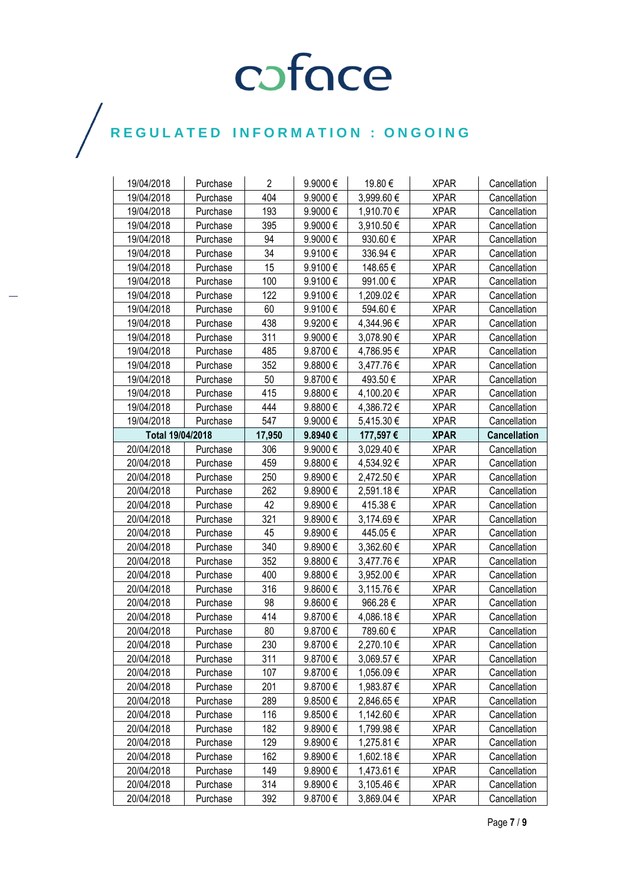| 19/04/2018       | Purchase | $\overline{2}$ | 9.9000€      | 19.80€     | <b>XPAR</b> | Cancellation        |
|------------------|----------|----------------|--------------|------------|-------------|---------------------|
| 19/04/2018       | Purchase | 404            | 9.9000€      | 3,999.60€  | <b>XPAR</b> | Cancellation        |
| 19/04/2018       | Purchase | 193            | 9.9000€      | 1,910.70 € | <b>XPAR</b> | Cancellation        |
| 19/04/2018       | Purchase | 395            | 9.9000€      | 3,910.50 € | <b>XPAR</b> | Cancellation        |
| 19/04/2018       | Purchase | 94             | 9.9000€      | 930.60€    | <b>XPAR</b> | Cancellation        |
| 19/04/2018       | Purchase | 34             | 9.9100€      | 336.94€    | <b>XPAR</b> | Cancellation        |
| 19/04/2018       | Purchase | 15             | 9.9100€      | 148.65€    | <b>XPAR</b> | Cancellation        |
| 19/04/2018       | Purchase | 100            | 9.9100€      | 991.00€    | <b>XPAR</b> | Cancellation        |
| 19/04/2018       | Purchase | 122            | 9.9100€      | 1,209.02€  | <b>XPAR</b> | Cancellation        |
| 19/04/2018       | Purchase | 60             | 9.9100€      | 594.60€    | <b>XPAR</b> | Cancellation        |
| 19/04/2018       | Purchase | 438            | 9.9200€      | 4,344.96 € | <b>XPAR</b> | Cancellation        |
| 19/04/2018       | Purchase | 311            | 9.9000€      | 3,078.90 € | <b>XPAR</b> | Cancellation        |
| 19/04/2018       | Purchase | 485            | 9.8700€      | 4,786.95€  | <b>XPAR</b> | Cancellation        |
| 19/04/2018       | Purchase | 352            | 9.8800€      | 3,477.76€  | <b>XPAR</b> | Cancellation        |
| 19/04/2018       | Purchase | 50             | 9.8700€      | 493.50€    | <b>XPAR</b> | Cancellation        |
| 19/04/2018       | Purchase | 415            | 9.8800€      | 4,100.20€  | <b>XPAR</b> | Cancellation        |
| 19/04/2018       | Purchase | 444            | 9.8800€      | 4,386.72 € | <b>XPAR</b> | Cancellation        |
| 19/04/2018       | Purchase | 547            | 9.9000€      | 5,415.30 € | <b>XPAR</b> | Cancellation        |
| Total 19/04/2018 |          | 17,950         | 9.8940€      | 177,597€   | <b>XPAR</b> | <b>Cancellation</b> |
| 20/04/2018       | Purchase | 306            | 9.9000 $\in$ | 3,029.40 € | <b>XPAR</b> | Cancellation        |
| 20/04/2018       | Purchase | 459            | 9.8800 $\in$ | 4,534.92€  | <b>XPAR</b> | Cancellation        |
| 20/04/2018       | Purchase | 250            | 9.8900€      | 2,472.50 € | <b>XPAR</b> | Cancellation        |
| 20/04/2018       | Purchase | 262            | 9.8900€      | 2,591.18€  | <b>XPAR</b> | Cancellation        |
| 20/04/2018       | Purchase | 42             | 9.8900€      | 415.38€    | <b>XPAR</b> | Cancellation        |
| 20/04/2018       | Purchase | 321            | 9.8900€      | 3,174.69€  | <b>XPAR</b> | Cancellation        |
| 20/04/2018       | Purchase | 45             | 9.8900€      | 445.05€    | <b>XPAR</b> | Cancellation        |
| 20/04/2018       | Purchase | 340            | 9.8900€      | 3,362.60 € | <b>XPAR</b> | Cancellation        |
| 20/04/2018       | Purchase | 352            | 9.8800€      | 3,477.76€  | <b>XPAR</b> | Cancellation        |
| 20/04/2018       | Purchase | 400            | 9.8800€      | 3,952.00 € | <b>XPAR</b> | Cancellation        |
| 20/04/2018       | Purchase | 316            | 9.8600€      | 3,115.76 € | <b>XPAR</b> | Cancellation        |
| 20/04/2018       | Purchase | 98             | 9.8600€      | 966.28€    | <b>XPAR</b> | Cancellation        |
| 20/04/2018       | Purchase | 414            | 9.8700€      | 4,086.18€  | <b>XPAR</b> | Cancellation        |
| 20/04/2018       | Purchase | 80             | 9.8700€      | 789.60€    | <b>XPAR</b> | Cancellation        |
| 20/04/2018       | Purchase | 230            | 9.8700€      | 2,270.10€  | <b>XPAR</b> | Cancellation        |
| 20/04/2018       | Purchase | 311            | 9.8700€      | 3,069.57 € | <b>XPAR</b> | Cancellation        |
| 20/04/2018       | Purchase | 107            | 9.8700€      | 1,056.09€  | <b>XPAR</b> | Cancellation        |
| 20/04/2018       | Purchase | 201            | 9.8700€      | 1,983.87 € | <b>XPAR</b> | Cancellation        |
| 20/04/2018       | Purchase | 289            | 9.8500€      | 2,846.65 € | <b>XPAR</b> | Cancellation        |
| 20/04/2018       | Purchase | 116            | 9.8500€      | 1,142.60 € | <b>XPAR</b> | Cancellation        |
| 20/04/2018       | Purchase | 182            | 9.8900€      | 1,799.98 € | <b>XPAR</b> | Cancellation        |
| 20/04/2018       | Purchase | 129            | 9.8900€      | 1,275.81 € | <b>XPAR</b> | Cancellation        |
| 20/04/2018       | Purchase | 162            | 9.8900€      | 1,602.18 € | <b>XPAR</b> | Cancellation        |
| 20/04/2018       | Purchase | 149            | 9.8900€      | 1,473.61 € | <b>XPAR</b> | Cancellation        |
| 20/04/2018       | Purchase | 314            | 9.8900€      | 3,105.46 € | <b>XPAR</b> | Cancellation        |
| 20/04/2018       | Purchase | 392            | 9.8700€      | 3,869.04 € | <b>XPAR</b> | Cancellation        |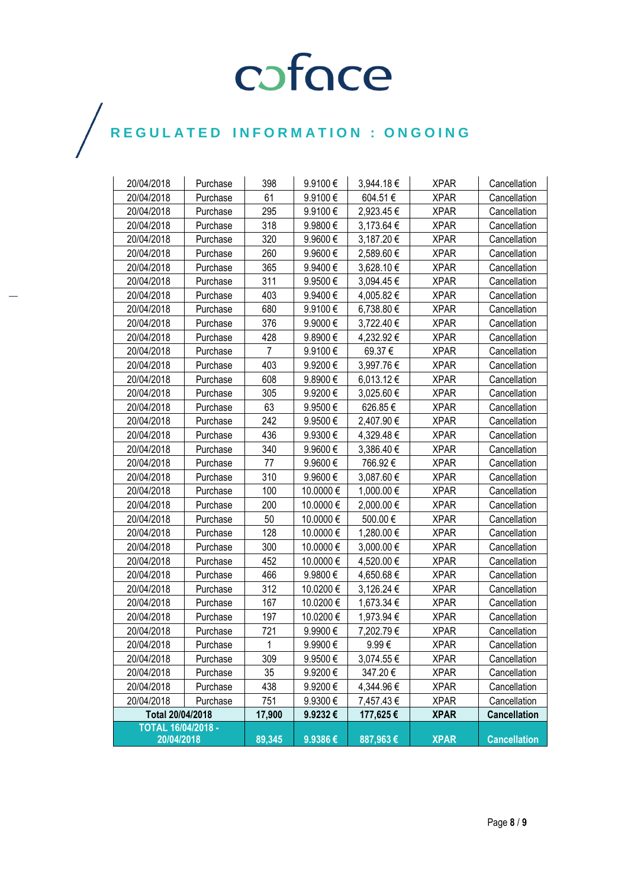| 20/04/2018                | Purchase | 398    | 9.9100€   | 3,944.18 € | <b>XPAR</b> | Cancellation        |
|---------------------------|----------|--------|-----------|------------|-------------|---------------------|
| 20/04/2018                | Purchase | 61     | 9.9100€   | 604.51€    | <b>XPAR</b> | Cancellation        |
| 20/04/2018                | Purchase | 295    | 9.9100€   | 2,923.45€  | <b>XPAR</b> | Cancellation        |
| 20/04/2018                | Purchase | 318    | 9.9800€   | 3,173.64 € | <b>XPAR</b> | Cancellation        |
| 20/04/2018                | Purchase | 320    | 9.9600€   | 3,187.20€  | <b>XPAR</b> | Cancellation        |
| 20/04/2018                | Purchase | 260    | 9.9600€   | 2,589.60 € | <b>XPAR</b> | Cancellation        |
| 20/04/2018                | Purchase | 365    | 9.9400€   | 3,628.10 € | <b>XPAR</b> | Cancellation        |
| 20/04/2018                | Purchase | 311    | 9.9500€   | 3,094.45 € | <b>XPAR</b> | Cancellation        |
| 20/04/2018                | Purchase | 403    | 9.9400€   | 4,005.82€  | <b>XPAR</b> | Cancellation        |
| 20/04/2018                | Purchase | 680    | 9.9100€   | 6,738.80 € | <b>XPAR</b> | Cancellation        |
| 20/04/2018                | Purchase | 376    | 9.9000€   | 3,722.40 € | <b>XPAR</b> | Cancellation        |
| 20/04/2018                | Purchase | 428    | 9.8900€   | 4,232.92 € | <b>XPAR</b> | Cancellation        |
| 20/04/2018                | Purchase | 7      | 9.9100€   | 69.37€     | <b>XPAR</b> | Cancellation        |
| 20/04/2018                | Purchase | 403    | 9.9200€   | 3,997.76 € | <b>XPAR</b> | Cancellation        |
| 20/04/2018                | Purchase | 608    | 9.8900€   | 6,013.12€  | <b>XPAR</b> | Cancellation        |
| 20/04/2018                | Purchase | 305    | 9.9200€   | 3,025.60 € | <b>XPAR</b> | Cancellation        |
| 20/04/2018                | Purchase | 63     | 9.9500€   | 626.85€    | <b>XPAR</b> | Cancellation        |
| 20/04/2018                | Purchase | 242    | 9.9500€   | 2,407.90 € | <b>XPAR</b> | Cancellation        |
| 20/04/2018                | Purchase | 436    | 9.9300€   | 4,329.48€  | <b>XPAR</b> | Cancellation        |
| 20/04/2018                | Purchase | 340    | 9.9600€   | 3,386.40 € | <b>XPAR</b> | Cancellation        |
| 20/04/2018                | Purchase | 77     | 9.9600€   | 766.92€    | <b>XPAR</b> | Cancellation        |
| 20/04/2018                | Purchase | 310    | 9.9600€   | 3,087.60 € | <b>XPAR</b> | Cancellation        |
| 20/04/2018                | Purchase | 100    | 10.0000€  | 1,000.00 € | <b>XPAR</b> | Cancellation        |
| 20/04/2018                | Purchase | 200    | 10.0000 € | 2,000.00 € | <b>XPAR</b> | Cancellation        |
| 20/04/2018                | Purchase | 50     | 10.0000 € | 500.00€    | <b>XPAR</b> | Cancellation        |
| 20/04/2018                | Purchase | 128    | 10.0000 € | 1,280.00 € | <b>XPAR</b> | Cancellation        |
| 20/04/2018                | Purchase | 300    | 10.0000 € | 3,000.00 € | <b>XPAR</b> | Cancellation        |
| 20/04/2018                | Purchase | 452    | 10.0000 € | 4,520.00 € | <b>XPAR</b> | Cancellation        |
| 20/04/2018                | Purchase | 466    | 9.9800€   | 4,650.68 € | <b>XPAR</b> | Cancellation        |
| 20/04/2018                | Purchase | 312    | 10.0200€  | 3,126.24 € | <b>XPAR</b> | Cancellation        |
| 20/04/2018                | Purchase | 167    | 10.0200€  | 1,673.34 € | <b>XPAR</b> | Cancellation        |
| 20/04/2018                | Purchase | 197    | 10.0200 € | 1,973.94 € | <b>XPAR</b> | Cancellation        |
| 20/04/2018                | Purchase | 721    | 9.9900€   | 7,202.79€  | <b>XPAR</b> | Cancellation        |
| 20/04/2018                | Purchase | 1      | 9.9900€   | 9.99€      | <b>XPAR</b> | Cancellation        |
| 20/04/2018                | Purchase | 309    | 9.9500€   | 3,074.55€  | <b>XPAR</b> | Cancellation        |
| 20/04/2018                | Purchase | 35     | 9.9200€   | 347.20€    | <b>XPAR</b> | Cancellation        |
| 20/04/2018                | Purchase | 438    | 9.9200€   | 4,344.96€  | <b>XPAR</b> | Cancellation        |
| 20/04/2018                | Purchase | 751    | 9.9300€   | 7,457.43 € | <b>XPAR</b> | Cancellation        |
| Total 20/04/2018          |          | 17,900 | 9.9232€   | 177,625€   | <b>XPAR</b> | <b>Cancellation</b> |
| <b>TOTAL 16/04/2018 -</b> |          |        |           |            |             |                     |
| 20/04/2018                |          | 89,345 | 9.9386€   | 887,963€   | <b>XPAR</b> | <b>Cancellation</b> |